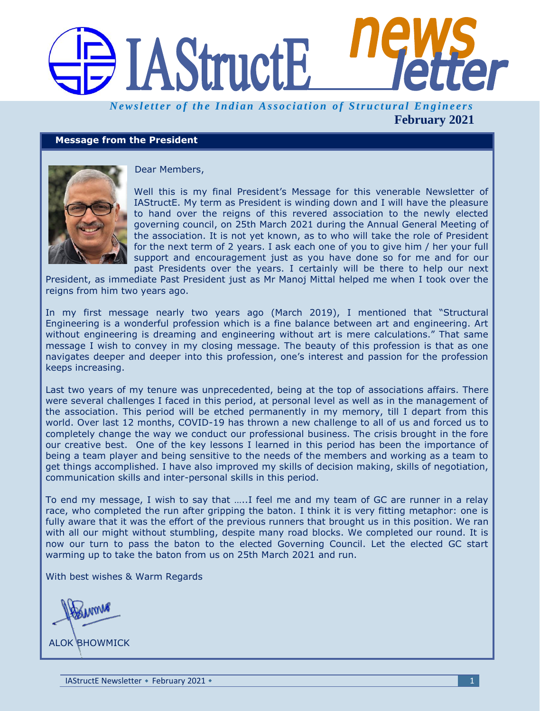# **IAStructE** ffer

*Newsletter of the Indian Association of Structural Engineers* **February 2021**

#### **Message from the President**



Dear Members,

Well this is my final President's Message for this venerable Newsletter of IAStructE. My term as President is winding down and I will have the pleasure to hand over the reigns of this revered association to the newly elected governing council, on 25th March 2021 during the Annual General Meeting of the association. It is not yet known, as to who will take the role of President for the next term of 2 years. I ask each one of you to give him / her your full support and encouragement just as you have done so for me and for our past Presidents over the years. I certainly will be there to help our next

President, as immediate Past President just as Mr Manoj Mittal helped me when I took over the reigns from him two years ago.

In my first message nearly two years ago (March 2019), I mentioned that "Structural Engineering is a wonderful profession which is a fine balance between art and engineering. Art without engineering is dreaming and engineering without art is mere calculations." That same message I wish to convey in my closing message. The beauty of this profession is that as one navigates deeper and deeper into this profession, one's interest and passion for the profession keeps increasing.

Last two years of my tenure was unprecedented, being at the top of associations affairs. There were several challenges I faced in this period, at personal level as well as in the management of the association. This period will be etched permanently in my memory, till I depart from this world. Over last 12 months, COVID-19 has thrown a new challenge to all of us and forced us to completely change the way we conduct our professional business. The crisis brought in the fore our creative best. One of the key lessons I learned in this period has been the importance of being a team player and being sensitive to the needs of the members and working as a team to get things accomplished. I have also improved my skills of decision making, skills of negotiation, communication skills and inter-personal skills in this period.

To end my message, I wish to say that …..I feel me and my team of GC are runner in a relay race, who completed the run after gripping the baton. I think it is very fitting metaphor: one is fully aware that it was the effort of the previous runners that brought us in this position. We ran with all our might without stumbling, despite many road blocks. We completed our round. It is now our turn to pass the baton to the elected Governing Council. Let the elected GC start warming up to take the baton from us on 25th March 2021 and run.

With best wishes & Warm Regards

AMMA

ALOK BHOWMICK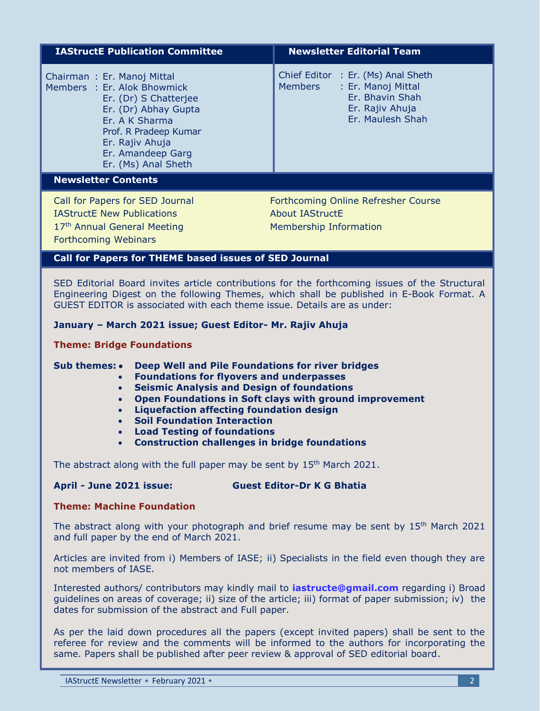| <b>IAStructE Publication Committee</b>                                                                                                                                                                               | <b>Newsletter Editorial Team</b>                                                                                              |  |  |  |
|----------------------------------------------------------------------------------------------------------------------------------------------------------------------------------------------------------------------|-------------------------------------------------------------------------------------------------------------------------------|--|--|--|
| Chairman: Er. Manoj Mittal<br>Members : Er. Alok Bhowmick<br>Er. (Dr) S Chatterjee<br>Er. (Dr) Abhay Gupta<br>Er. A K Sharma<br>Prof. R Pradeep Kumar<br>Er. Rajiv Ahuja<br>Er. Amandeep Garg<br>Er. (Ms) Anal Sheth | Chief Editor : Er. (Ms) Anal Sheth<br>: Er. Manoj Mittal<br>Members<br>Er. Bhavin Shah<br>Er. Rajiv Ahuja<br>Er. Maulesh Shah |  |  |  |
| <b>Newsletter Contents</b>                                                                                                                                                                                           |                                                                                                                               |  |  |  |
| Call for Papers for SED Journal<br><b>IAStructE New Publications</b><br>17th Annual General Meeting<br><b>Forthcoming Webinars</b>                                                                                   | Forthcoming Online Refresher Course<br>About IAStructE<br>Membership Information                                              |  |  |  |
| <b>Call for Papers for THEME based issues of SED Journal</b>                                                                                                                                                         |                                                                                                                               |  |  |  |

SED Editorial Board invites article contributions for the forthcoming issues of the Structural Engineering Digest on the following Themes, which shall be published in E-Book Format. A GUEST EDITOR is associated with each theme issue. Details are as under:

#### **January – March 2021 issue; Guest Editor- Mr. Rajiv Ahuja**

**Theme: Bridge Foundations**

#### **Sub themes: • Deep Well and Pile Foundations for river bridges**

- **Foundations for flyovers and underpasses**
- **Seismic Analysis and Design of foundations**
- **Open Foundations in Soft clays with ground improvement**
- **Liquefaction affecting foundation design**
- **Soil Foundation Interaction**
- **Load Testing of foundations**
- **Construction challenges in bridge foundations**

The abstract along with the full paper may be sent by 15<sup>th</sup> March 2021.

#### **April - June 2021 issue: Guest Editor-Dr K G Bhatia**

#### **Theme: Machine Foundation**

The abstract along with your photograph and brief resume may be sent by  $15<sup>th</sup>$  March 2021 and full paper by the end of March 2021.

Articles are invited from i) Members of IASE; ii) Specialists in the field even though they are not members of IASE.

Interested authors/ contributors may kindly mail to **[iastructe@gmail.com](mailto:iastructe@gmail.com)** regarding i) Broad guidelines on areas of coverage; ii) size of the article; iii) format of paper submission; iv) the dates for submission of the abstract and Full paper.

As per the laid down procedures all the papers (except invited papers) shall be sent to the referee for review and the comments will be informed to the authors for incorporating the same. Papers shall be published after peer review & approval of SED editorial board.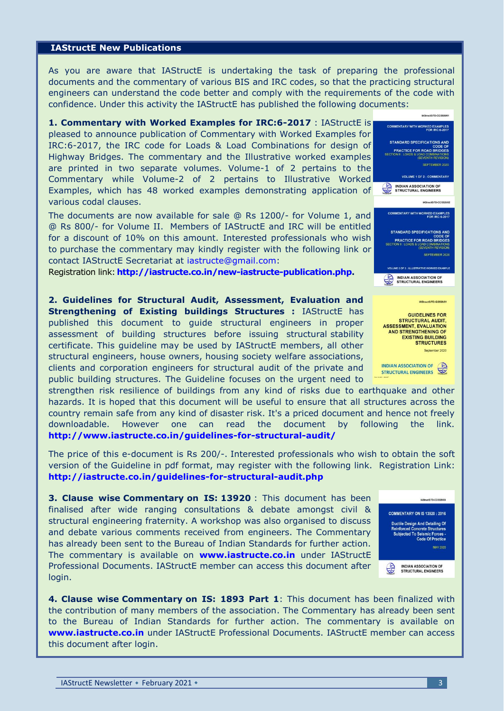#### **IAStructE New Publications**

As you are aware that IAStructE is undertaking the task of preparing the professional documents and the commentary of various BIS and IRC codes, so that the practicing structural engineers can understand the code better and comply with the requirements of the code with confidence. Under this activity the IAStructE has published the following documents:

**1. Commentary with Worked Examples for IRC:6-2017** : IAStructE is pleased to announce publication of Commentary with Worked Examples for IRC:6-2017, the IRC code for Loads & Load Combinations for design of Highway Bridges. The commentary and the Illustrative worked examples are printed in two separate volumes. Volume-1 of 2 pertains to the Commentary while Volume-2 of 2 pertains to Illustrative Worked Examples, which has 48 worked examples demonstrating application of various codal clauses.

The documents are now available for sale @ Rs 1200/- for Volume 1, and @ Rs 800/- for Volume II. Members of IAStructE and IRC will be entitled for a discount of 10% on this amount. Interested professionals who wish to purchase the commentary may kindly register with the following link or contact IAStructE Secretariat at [iastructe@gmail.com:](mailto:iastructe@gmail.com)

Registration link: **[http://iastructe.co.in/new-iastructe-publication.php.](http://iastructe.co.in/new-iastructe-publication.php)**

**2. Guidelines for Structural Audit, Assessment, Evaluation and Strengthening of Existing buildings Structures :** IAStructE has published this document to guide structural engineers in proper assessment of building structures before issuing structural stability certificate. This guideline may be used by IAStructE members, all other structural engineers, house owners, housing society welfare associations, clients and corporation engineers for structural audit of the private and public building structures. The Guideline focuses on the urgent need to

strengthen risk resilience of buildings from any kind of risks due to earthquake and other hazards. It is hoped that this document will be useful to ensure that all structures across the country remain safe from any kind of disaster risk. It's a priced document and hence not freely downloadable. However one can read the document by following the link. **<http://www.iastructe.co.in/guidelines-for-structural-audit/>**

The price of this e-document is Rs 200/-. Interested professionals who wish to obtain the soft version of the Guideline in pdf format, may register with the following link. Registration Link: **<http://iastructe.co.in/guidelines-for-structural-audit.php>**

**3. Clause wise Commentary on IS: 13920** : This document has been finalised after wide ranging consultations & debate amongst civil & structural engineering fraternity. A workshop was also organised to discuss and debate various comments received from engineers. The Commentary has already been sent to the Bureau of Indian Standards for further action. The commentary is available on **[www.iastructe.co.in](http://www.iastructe.co.in/)** under IAStructE Professional Documents. IAStructE member can access this document after login.





INDIAN ASSOCIATION OF STRUCTURAL ENGINEERS **INDIAN ASSOCIATION OF** 

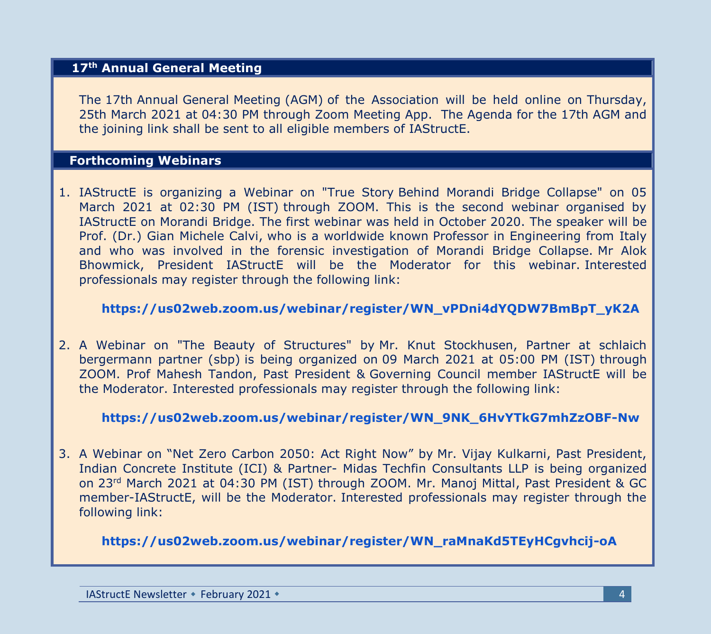#### **17th Annual General Meeting**

The 17th Annual General Meeting (AGM) of the Association will be held online on Thursday, 25th March 2021 at 04:30 PM through Zoom Meeting App. The Agenda for the 17th AGM and the joining link shall be sent to all eligible members of IAStructE.

#### **Forthcoming Webinars**

1. IAStructE is organizing a Webinar on "True Story Behind Morandi Bridge Collapse" on 05 March 2021 at 02:30 PM (IST) through ZOOM. This is the second webinar organised by IAStructE on Morandi Bridge. The first webinar was held in October 2020. The speaker will be Prof. (Dr.) Gian Michele Calvi, who is a worldwide known Professor in Engineering from Italy and who was involved in the forensic investigation of Morandi Bridge Collapse. Mr Alok Bhowmick, President IAStructE will be the Moderator for this webinar. Interested professionals may register through the following link:

#### **[https://us02web.zoom.us/webinar/register/WN\\_vPDni4dYQDW7BmBpT\\_yK2A](https://us02web.zoom.us/webinar/register/WN_vPDni4dYQDW7BmBpT_yK2A)**

2. A Webinar on "The Beauty of Structures" by Mr. Knut Stockhusen, Partner at schlaich bergermann partner (sbp) is being organized on 09 March 2021 at 05:00 PM (IST) through ZOOM. Prof Mahesh Tandon, Past President & Governing Council member IAStructE will be the Moderator. Interested professionals may register through the following link:

#### **[https://us02web.zoom.us/webinar/register/WN\\_9NK\\_6HvYTkG7mhZzOBF-Nw](https://us02web.zoom.us/webinar/register/WN_9NK_6HvYTkG7mhZzOBF-Nw)**

3. A Webinar on "Net Zero Carbon 2050: Act Right Now" by Mr. Vijay Kulkarni, Past President, Indian Concrete Institute (ICI) & Partner- Midas Techfin Consultants LLP is being organized on 23rd March 2021 at 04:30 PM (IST) through ZOOM. Mr. Manoj Mittal, Past President & GC member-IAStructE, will be the Moderator. Interested professionals may register through the following link:

**[https://us02web.zoom.us/webinar/register/WN\\_raMnaKd5TEyHCgvhcij-oA](https://us02web.zoom.us/webinar/register/WN_raMnaKd5TEyHCgvhcij-oA)**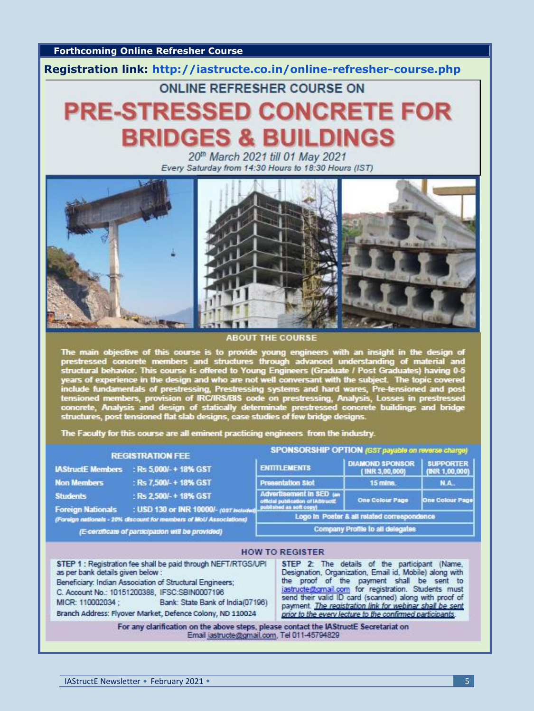**Forthcoming Online Refresher Course**

**Registration link:<http://iastructe.co.in/online-refresher-course.php>**

### ONLINE REFRESHER COURSE ON

## **PRE-STRESSED CONCRETE FOR BRIDGES & BUILDINGS**

20th March 2021 till 01 May 2021 Every Saturday from 14:30 Hours to 18:30 Hours (IST)



**ABOUT THE COURSE** 

The main objective of this course is to provide young engineers with an insight in the design of prestressed concrete members and structures through advanced understanding of material and structural behavior. This course i

The Faculty for this course are all eminent practicing engineers from the industry.

#### **REGISTRATION FEE**

| <b>IAStructE Members</b> | : Rs 5,000/-+18% GST   |
|--------------------------|------------------------|
| <b>Non Members</b>       | : Rs 7,500/-+18% GST   |
| <b>Students</b>          | : Rs 2,500/-+18% GST   |
| <b>Engine Mationale</b>  | $-1100.420 - 0.024000$ |

(Foreign nationals - 20% discount for members of MoU Asso (E-certificate of participation will be provided)

#### **SPONSORSHIP OPTION (GST payable on revers**

|                   | <b>ENTITLEMENTS</b>                                                                      | <b>DIAMOND SPONSOR</b><br>(INR 3,00,000) | <b>SUPPORTER</b><br>(INR 1,00,000) |  |  |
|-------------------|------------------------------------------------------------------------------------------|------------------------------------------|------------------------------------|--|--|
|                   | <b>Presentation Slot</b>                                                                 | 15 mins.                                 | N.A.                               |  |  |
| <b>T Included</b> | Advertisement in SED (an<br>official publication of IAStructE<br>published as soft copy! | <b>One Colour Page</b>                   | One Colour Page                    |  |  |
| ations)           | Logo In Poster & all related correspondence                                              |                                          |                                    |  |  |
|                   | Company Profile to all delegates                                                         |                                          |                                    |  |  |

|                                                                                                                                                                                                                                                                                                                                       | <b>HOW TO REGISTER</b>                                                                                                                                                                                                                                                                                                                                                                          |
|---------------------------------------------------------------------------------------------------------------------------------------------------------------------------------------------------------------------------------------------------------------------------------------------------------------------------------------|-------------------------------------------------------------------------------------------------------------------------------------------------------------------------------------------------------------------------------------------------------------------------------------------------------------------------------------------------------------------------------------------------|
| STEP 1 : Registration fee shall be paid through NEFT/RTGS/UPI<br>as per bank details given below :<br>Beneficiary: Indian Association of Structural Engineers;<br>C. Account No.: 10151200388, IFSC:SBIN0007196<br>Bank: State Bank of India(07196)<br>MICR: 110002034 :<br>Branch Address: Flyover Market, Defence Colony, ND 110024 | STEP 2: The details of the participant (Name,<br>Designation, Organization, Email id, Mobile) along with<br>the proof of the payment shall be sent to<br>iastructe@gmail.com for registration. Students must<br>send their valid ID card (scanned) along with proof of<br>payment. The registration link for webinar shall be sent<br>prior to the every lecture to the confirmed participants. |
| For any clarification on the above steps, please contact the IAStructE Secretariat on<br>Email jastructe@gmail.com, Tel 011-45794829                                                                                                                                                                                                  |                                                                                                                                                                                                                                                                                                                                                                                                 |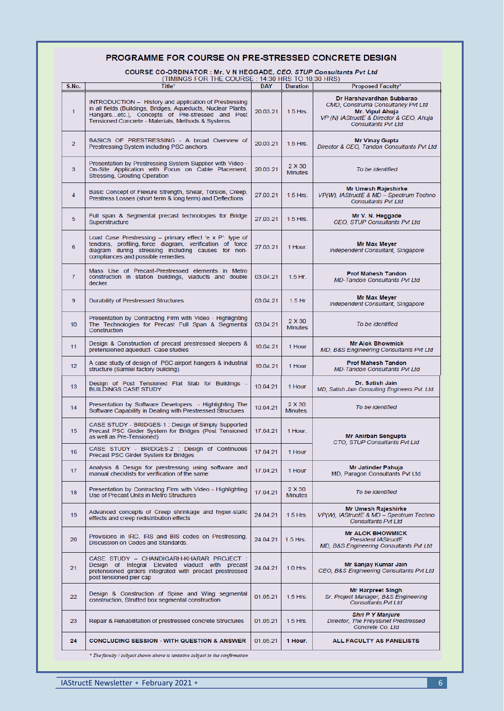#### PROGRAMME FOR COURSE ON PRE-STRESSED CONCRETE DESIGN

COURSE CO-ORDINATOR : Mr. V N HEGGADE, CEO, STUP Consultants Pvt Ltd<br>(TIMINGS FOR THE COURSE : 14:30 HRS TO 18:30 HRS)

| S.No.          | Title*                                                                                                                                                                                                                           | <b>DAY</b> | <b>Duration</b>          | $1 + 00 + 1110 + 10100 + 1110$<br><b>Proposed Faculty*</b>                                                                                                   |  |
|----------------|----------------------------------------------------------------------------------------------------------------------------------------------------------------------------------------------------------------------------------|------------|--------------------------|--------------------------------------------------------------------------------------------------------------------------------------------------------------|--|
| 1              | INTRODUCTION - History and application of Prestressing<br>in all fields (Buildings, Bridges, Aqueducts, Nuclear Plants,<br>Hangarsetc.), Concepts of Pre-stressed and Post<br>Tensioned Concrete - Materials, Methods & Systems. | 20.03.21   | $1.5$ Hrs.               | Dr Harshavardhan Subbarao<br>CMD. Construma Consultancy Pvt Ltd<br>Mr. Vipul Ahuja<br>VP (N) IAStructE & Director & CEO, Ahuja<br><b>Consultants Pvt Ltd</b> |  |
| 2              | BASICS OF PRESTRESSING - A broad Overview of<br>Prestressing System including PSC anchors.                                                                                                                                       | 20.03.21   | $1.5$ Hrs.               | <b>Mr Vinay Gupta</b><br>Director & CEO, Tandon Consultants Pvt Ltd                                                                                          |  |
| 3              | Presentation by Prestressing System Supplier with Video -<br>On-Site Application with Focus on Cable Placement,<br>Stressing, Grouting Operation                                                                                 | 20.03.21   | 2 X 30<br><b>Minutes</b> | To be identified                                                                                                                                             |  |
| 4              | Basic Concept of Flexure Strength, Shear, Torsion, Creep,<br>Prestress Losses (short term & long term) and Deflections                                                                                                           | 27.03.21   | $1.5$ Hrs.               | Mr Umesh Rajeshirke<br>VP(W), IAStructE & MD - Spectrum Techno<br><b>Consultants Pvt Ltd</b>                                                                 |  |
| 5              | Full span & Segmental precast technologies for Bridge<br>Superstructure                                                                                                                                                          | 27.03.21   | $1.5$ Hrs.               | Mr V. N. Heggade<br>CEO, STUP Consultants Pvt Ltd                                                                                                            |  |
| 6              | Load Case Prestressing - primary effect 'e x P': type of<br>tendons, profiling force diagram, verification of force<br>diagram during stressing including causes for non-<br>compliances and possible remedies.                  | 27.03.21   | 1 Hour.                  | Mr Max Meyer<br>Independent Consultant, Singapore                                                                                                            |  |
| $\overline{7}$ | Mass Use of Precast-Prestressed elements in Metro<br>construction in station buildings, viaducts and double<br>decker.                                                                                                           | 03.04.21   | $1.5$ Hr.                | <b>Prof Mahesh Tandon</b><br><b>MD-Tandon Consultants Pvt Ltd</b>                                                                                            |  |
| 9              | Durability of Prestressed Structures                                                                                                                                                                                             | 03.04.21   | $1.5$ Hr                 | Mr Max Meyer<br>Independent Consultant, Singapore                                                                                                            |  |
| 10             | Presentation by Contracting Firm with Video - Highlighting<br>The Technologies for Precast Full Span & Segmental<br>Construction                                                                                                 | 03.04.21   | 2 X 30<br><b>Minutes</b> | To be identified                                                                                                                                             |  |
| 11             | Design & Construction of precast prestressed sleepers &<br>pretensioned aqueduct- Case studies                                                                                                                                   | 10.04.21   | 1 Hour                   | <b>Mr Alok Bhowmick</b><br>MD, B&S Engineering Consultants Pvt Ltd                                                                                           |  |
| $12 \,$        | A case study of design of PSC airport hangers & Industrial<br>structure (Samtel factory building).                                                                                                                               | 10.04.21   | 1 Hour                   | <b>Prof Mahesh Tandon</b><br><b>MD-Tandon Consultants Pvt Ltd</b>                                                                                            |  |
| 13             | Design of Post Tensioned Flat Slab for Buildings -<br><b>BUILDINGS CASE STUDY</b>                                                                                                                                                | 10.04.21   | 1 Hour                   | Dr. Satish Jain<br>MD, Satish Jain Consulting Engineers Pvt. Ltd.                                                                                            |  |
| 14             | Presentation by Software Developers - Highlighting The<br>Software Capability in Dealing with Prestressed Structures                                                                                                             | 10.04.21   | 2 X 30<br>Minutes.       | To be identified                                                                                                                                             |  |
| 15             | CASE STUDY - BRIDGES-1: Design of Simply Supported<br>Precast PSC Girder System for Bridges (Post Tensioned<br>as well as Pre-Tensioned)                                                                                         | 17.04.21   | 1 Hour.                  | Mr Anirban Sengupta<br>CTO, STUP Consultants Pvt Ltd                                                                                                         |  |
| 16             | CASE STUDY - BRIDGES 2 : Design of Continuous<br>Precast PSC Girder System for Bridges                                                                                                                                           | 17.04.21   | 1 Hour                   |                                                                                                                                                              |  |
| 17             | Analysis & Design for prestressing using software and<br>manual checklists for verification of the same                                                                                                                          | 17.04.21   | 1 Hour                   | Mr Jatinder Pahuja<br>MD, Paragon Consultants Pvt Ltd                                                                                                        |  |
| 18             | Presentation by Contracting Firm with Video - Highlighting<br>Use of Precast Units in Metro Structures                                                                                                                           | 17.04.21   | 2 X 30<br><b>Minutes</b> | To be identified                                                                                                                                             |  |
| 19             | Advanced concepts of Creep shrinkage and hyper-static<br>effects and creep redistribution effects                                                                                                                                | 24.04.21   | $1.5$ Hrs.               | Mr Umesh Rajeshirke<br>VP(W), IAStructE & MD - Spectrum Techno<br><b>Consultants Pvt Ltd</b>                                                                 |  |
| 20             | Provisions in IRC, IRS and BIS codes on Prestressing.<br>Discussion on Codes and Standards.                                                                                                                                      | 24.04.21   | $1.5$ Hrs.               | <b>Mr ALOK BHOWMICK</b><br><b>President IAStructE</b><br>MD, B&S Engineering Consultants Pvt Ltd                                                             |  |
| 21             | CASE STUDY - CHANDIGARH-KHARAR PROJECT:<br>Design of Integral Elevated viaduct with precast<br>pretensioned girders integrated with precast prestressed<br>post tensioned pier cap                                               | 24.04.21   | 1.0 Hrs.                 | Mr Sanjay Kumar Jain<br>CEO, B&S Engineering Consultants Pvt Ltd                                                                                             |  |
| 22             | Design & Construction of Spine and Wing segmental<br>construction, Strutted box segmental construction                                                                                                                           | 01.05.21   | $1.5$ Hrs.               | <b>Mr Harpreet Singh</b><br>Sr. Project Manager, B&S Engineering<br><b>Consultants Pvt Ltd</b>                                                               |  |
| 23             | Repair & Rehabilitation of prestressed concrete Structures                                                                                                                                                                       | 01.05.21   | $1.5$ Hrs.               | <b>Shri P Y Manjure</b><br>Director, The Freyssinet Prestressed<br>Concrete Co. Ltd                                                                          |  |
| 24             | <b>CONCLUDING SESSION - WITH QUESTION &amp; ANSWER</b>                                                                                                                                                                           | 01.05.21   | 1 Hour.                  | ALL FACULTY AS PANELISTS                                                                                                                                     |  |
|                | * The faculty / subject shown above is tentative subject to the confirmation                                                                                                                                                     |            |                          |                                                                                                                                                              |  |